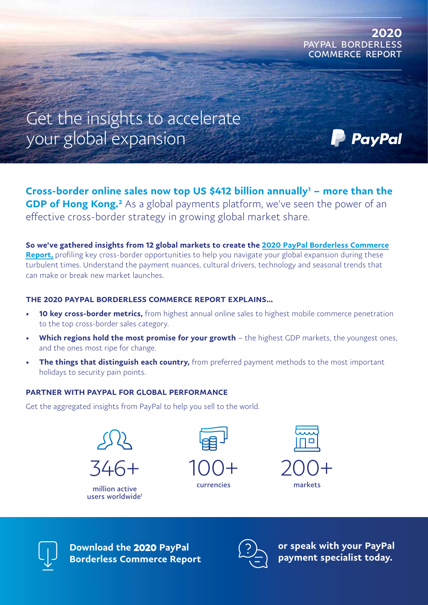

PavPal

Get the insights to accelerate your global expansion

Cross-border online sales now top US \$412 billion annually<sup>1</sup> – more than the GDP of Hong Kong.<sup>2</sup> As a global payments platform, we've seen the power of an effective cross-border strategy in growing global market share.

So we've gathered insights from 12 global markets to create the 2020 PayPal Borderless Commerce Report, profiling key cross-border opportunities to help you navigate your global expansion during these turbulent times. Understand the payment nuances, cultural drivers, technology and seasonal trends that can make or break new market launches.

## THE 2020 PAYPAL BORDERLESS COMMERCE REPORT EXPLAINS…

- **10 key cross-border metrics,** from highest annual online sales to highest mobile commerce penetration to the top cross-border sales category.
- Which regions hold the most promise for your growth the highest GDP markets, the youngest ones, and the ones most ripe for change.
- The things that distinguish each country, from preferred payment methods to the most important holidays to security pain points.

## PARTNER WITH PAYPAL FOR GLOBAL PERFORMANCE

Get the aggregated insights from PayPal to help you sell to the world.



million active users worldwide<sup>1</sup>



currencies





Download the 2020 PayPal [Borderless Commerce Report](https://paypal-borderlesscommerce.com/)



or speak with your PayPal payment specialist today.